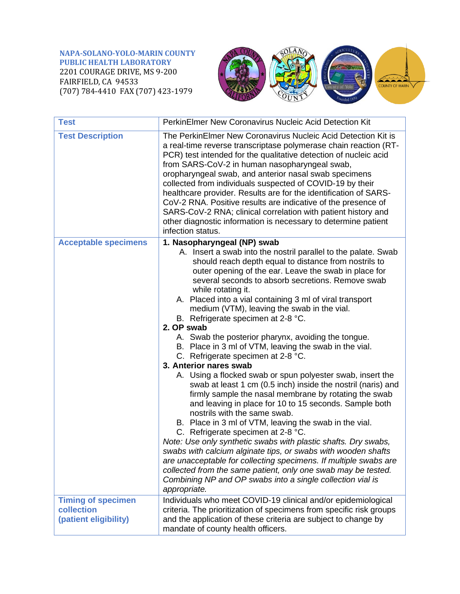**NAPA-SOLANO-YOLO-MARIN COUNTY PUBLIC HEALTH LABORATORY** 2201 COURAGE DRIVE, MS 9-200 FAIRFIELD, CA 94533 (707) 784-4410 FAX (707) 423-1979



| <b>Test</b>                         | <b>PerkinElmer New Coronavirus Nucleic Acid Detection Kit</b>                                                                                                                                                                                                                                                                                                                                                                                                                                                                                                                                                                                                                                                                                                                                                                                                                                                                                                                                                                                                                                                                                                                                                                                                                                                                                                                     |
|-------------------------------------|-----------------------------------------------------------------------------------------------------------------------------------------------------------------------------------------------------------------------------------------------------------------------------------------------------------------------------------------------------------------------------------------------------------------------------------------------------------------------------------------------------------------------------------------------------------------------------------------------------------------------------------------------------------------------------------------------------------------------------------------------------------------------------------------------------------------------------------------------------------------------------------------------------------------------------------------------------------------------------------------------------------------------------------------------------------------------------------------------------------------------------------------------------------------------------------------------------------------------------------------------------------------------------------------------------------------------------------------------------------------------------------|
| <b>Test Description</b>             | The PerkinElmer New Coronavirus Nucleic Acid Detection Kit is<br>a real-time reverse transcriptase polymerase chain reaction (RT-<br>PCR) test intended for the qualitative detection of nucleic acid<br>from SARS-CoV-2 in human nasopharyngeal swab,<br>oropharyngeal swab, and anterior nasal swab specimens<br>collected from individuals suspected of COVID-19 by their<br>healthcare provider. Results are for the identification of SARS-<br>CoV-2 RNA. Positive results are indicative of the presence of<br>SARS-CoV-2 RNA; clinical correlation with patient history and<br>other diagnostic information is necessary to determine patient<br>infection status.                                                                                                                                                                                                                                                                                                                                                                                                                                                                                                                                                                                                                                                                                                         |
| <b>Acceptable specimens</b>         | 1. Nasopharyngeal (NP) swab<br>A. Insert a swab into the nostril parallel to the palate. Swab<br>should reach depth equal to distance from nostrils to<br>outer opening of the ear. Leave the swab in place for<br>several seconds to absorb secretions. Remove swab<br>while rotating it.<br>A. Placed into a vial containing 3 ml of viral transport<br>medium (VTM), leaving the swab in the vial.<br>B. Refrigerate specimen at 2-8 °C.<br>2. OP swab<br>A. Swab the posterior pharynx, avoiding the tongue.<br>B. Place in 3 ml of VTM, leaving the swab in the vial.<br>C. Refrigerate specimen at 2-8 °C.<br>3. Anterior nares swab<br>A. Using a flocked swab or spun polyester swab, insert the<br>swab at least 1 cm (0.5 inch) inside the nostril (naris) and<br>firmly sample the nasal membrane by rotating the swab<br>and leaving in place for 10 to 15 seconds. Sample both<br>nostrils with the same swab.<br>B. Place in 3 ml of VTM, leaving the swab in the vial.<br>C. Refrigerate specimen at 2-8 °C.<br>Note: Use only synthetic swabs with plastic shafts. Dry swabs,<br>swabs with calcium alginate tips, or swabs with wooden shafts<br>are unacceptable for collecting specimens. If multiple swabs are<br>collected from the same patient, only one swab may be tested.<br>Combining NP and OP swabs into a single collection vial is<br>appropriate. |
| <b>Timing of specimen</b>           | Individuals who meet COVID-19 clinical and/or epidemiological                                                                                                                                                                                                                                                                                                                                                                                                                                                                                                                                                                                                                                                                                                                                                                                                                                                                                                                                                                                                                                                                                                                                                                                                                                                                                                                     |
| collection<br>(patient eligibility) | criteria. The prioritization of specimens from specific risk groups<br>and the application of these criteria are subject to change by<br>mandate of county health officers.                                                                                                                                                                                                                                                                                                                                                                                                                                                                                                                                                                                                                                                                                                                                                                                                                                                                                                                                                                                                                                                                                                                                                                                                       |